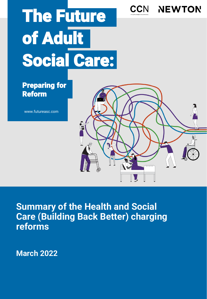# The Future of Adult Social Care:

**CCN** 

**NEWTON** 

# Preparing for Reform

www.futureasc.com

**Summary of the Health and Social Care (Building Back Better) charging reforms** 

**March 2022**